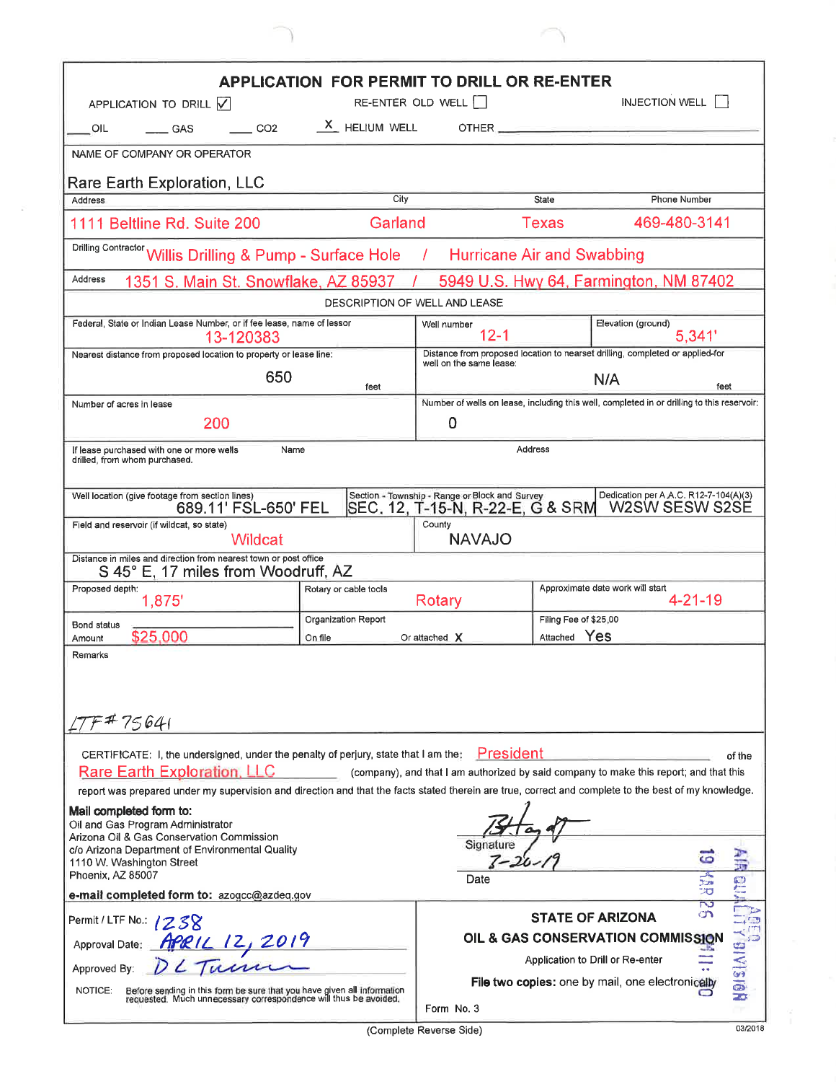|                                                                                                                                                                                                                | <b>APPLICATION FOR PERMIT TO DRILL OR RE-ENTER</b> |                                                                                                          |                                  |                                                                                            |        |  |  |
|----------------------------------------------------------------------------------------------------------------------------------------------------------------------------------------------------------------|----------------------------------------------------|----------------------------------------------------------------------------------------------------------|----------------------------------|--------------------------------------------------------------------------------------------|--------|--|--|
| APPLICATION TO DRILL $ V $                                                                                                                                                                                     |                                                    | RE-ENTER OLD WELL $\Box$                                                                                 |                                  | <b>INJECTION WELL</b>                                                                      |        |  |  |
| $\sim$ CO2<br>OIL<br>GAS                                                                                                                                                                                       | $X$ HELIUM WELL                                    |                                                                                                          |                                  |                                                                                            |        |  |  |
| NAME OF COMPANY OR OPERATOR                                                                                                                                                                                    |                                                    |                                                                                                          |                                  |                                                                                            |        |  |  |
| Rare Earth Exploration, LLC                                                                                                                                                                                    |                                                    |                                                                                                          |                                  |                                                                                            |        |  |  |
| <b>Address</b>                                                                                                                                                                                                 | City                                               |                                                                                                          | State                            | <b>Phone Number</b>                                                                        |        |  |  |
| 1111 Beltline Rd. Suite 200                                                                                                                                                                                    | Garland                                            |                                                                                                          | Texas                            | 469-480-3141                                                                               |        |  |  |
| Drilling Contractor Willis Drilling & Pump - Surface Hole<br>/ Hurricane Air and Swabbing                                                                                                                      |                                                    |                                                                                                          |                                  |                                                                                            |        |  |  |
| Address<br>1351 S. Main St. Snowflake, AZ 85937                                                                                                                                                                |                                                    |                                                                                                          |                                  | 5949 U.S. Hwy 64, Farmington, NM 87402                                                     |        |  |  |
|                                                                                                                                                                                                                | DESCRIPTION OF WELL AND LEASE                      |                                                                                                          |                                  |                                                                                            |        |  |  |
| Federal, State or Indian Lease Number, or if fee lease, name of lessor<br>13-120383                                                                                                                            |                                                    | Elevation (ground)<br>Well number<br>$12 - 1$<br>5.341'                                                  |                                  |                                                                                            |        |  |  |
| Nearest distance from proposed location to property or lease line:                                                                                                                                             |                                                    | Distance from proposed location to nearset drilling, completed or applied-for<br>well on the same lease: |                                  |                                                                                            |        |  |  |
| 650                                                                                                                                                                                                            | feet                                               |                                                                                                          |                                  | N/A                                                                                        | feet   |  |  |
| Number of acres in lease                                                                                                                                                                                       |                                                    |                                                                                                          |                                  | Number of wells on lease, including this well, completed in or drilling to this reservoir: |        |  |  |
| 200                                                                                                                                                                                                            |                                                    | 0                                                                                                        |                                  |                                                                                            |        |  |  |
| If lease purchased with one or more wells<br>Name<br>drilled, from whom purchased.                                                                                                                             |                                                    |                                                                                                          | Address                          |                                                                                            |        |  |  |
| Well location (give footage from section lines)<br>689.11' FSL-650' FEL                                                                                                                                        |                                                    | Section - Township - Range or Block and Survey<br>SEC. 12, T-15-N, R-22-E, G & SRM                       |                                  | Dedication per A.A.C. R12-7-104(A)(3)<br>W2SW SESW S2SE                                    |        |  |  |
| Field and reservoir (if wildcat, so state)<br><b>Wildcat</b>                                                                                                                                                   |                                                    | County<br><b>NAVAJO</b>                                                                                  |                                  |                                                                                            |        |  |  |
| Distance in miles and direction from nearest town or post office<br>S 45° E, 17 miles from Woodruff, AZ                                                                                                        |                                                    |                                                                                                          |                                  |                                                                                            |        |  |  |
| Proposed depth:<br>1,875'                                                                                                                                                                                      | Rotary or cable tools                              | Rotary                                                                                                   |                                  | Approximate date work will start<br>$4 - 21 - 19$                                          |        |  |  |
| <b>Bond status</b>                                                                                                                                                                                             | Organization Report                                |                                                                                                          | Filing Fee of \$25.00            |                                                                                            |        |  |  |
| \$25,000<br>Amount                                                                                                                                                                                             | On file                                            | Or attached $\boldsymbol{X}$                                                                             | Attached Yes                     |                                                                                            |        |  |  |
| Remarks<br>F#75641                                                                                                                                                                                             |                                                    |                                                                                                          |                                  |                                                                                            |        |  |  |
| CERTIFICATE: I, the undersigned, under the penalty of perjury, state that I am the:<br><b>Rare Earth Exploration, LLC</b>                                                                                      |                                                    | <b>President</b>                                                                                         |                                  | (company), and that I am authorized by said company to make this report; and that this     | of the |  |  |
| report was prepared under my supervision and direction and that the facts stated therein are true, correct and complete to the best of my knowledge.                                                           |                                                    |                                                                                                          |                                  |                                                                                            |        |  |  |
| Mail completed form to:<br>Oil and Gas Program Administrator<br>Arizona Oil & Gas Conservation Commission<br>c/o Arizona Department of Environmental Quality<br>1110 W. Washington Street<br>Phoenix, AZ 85007 |                                                    | Signature                                                                                                |                                  | డ<br>ᄌ                                                                                     |        |  |  |
| e-mail completed form to: azogcc@azdeq.gov                                                                                                                                                                     |                                                    | Date                                                                                                     |                                  | מכת<br>-10                                                                                 |        |  |  |
| Permit / LTF No.: /Z38                                                                                                                                                                                         |                                                    |                                                                                                          |                                  | N<br>ന<br><b>STATE OF ARIZONA</b>                                                          |        |  |  |
| <b>Approval Date:</b>                                                                                                                                                                                          | OIL & GAS CONSERVATION COMMISSION                  |                                                                                                          |                                  |                                                                                            |        |  |  |
| APRIL 12, 2019<br>Approved By:                                                                                                                                                                                 |                                                    |                                                                                                          | Application to Drill or Re-enter |                                                                                            |        |  |  |
| Before sending in this form be sure that you have given all information<br>NOTICE:<br>requested. Much unnecessary correspondence will thus be avoided.                                                         |                                                    | <b>Neisiviey</b><br>File two copies: one by mail, one electronically<br>Form No. 3                       |                                  |                                                                                            |        |  |  |

(Complete Reverse Side)

I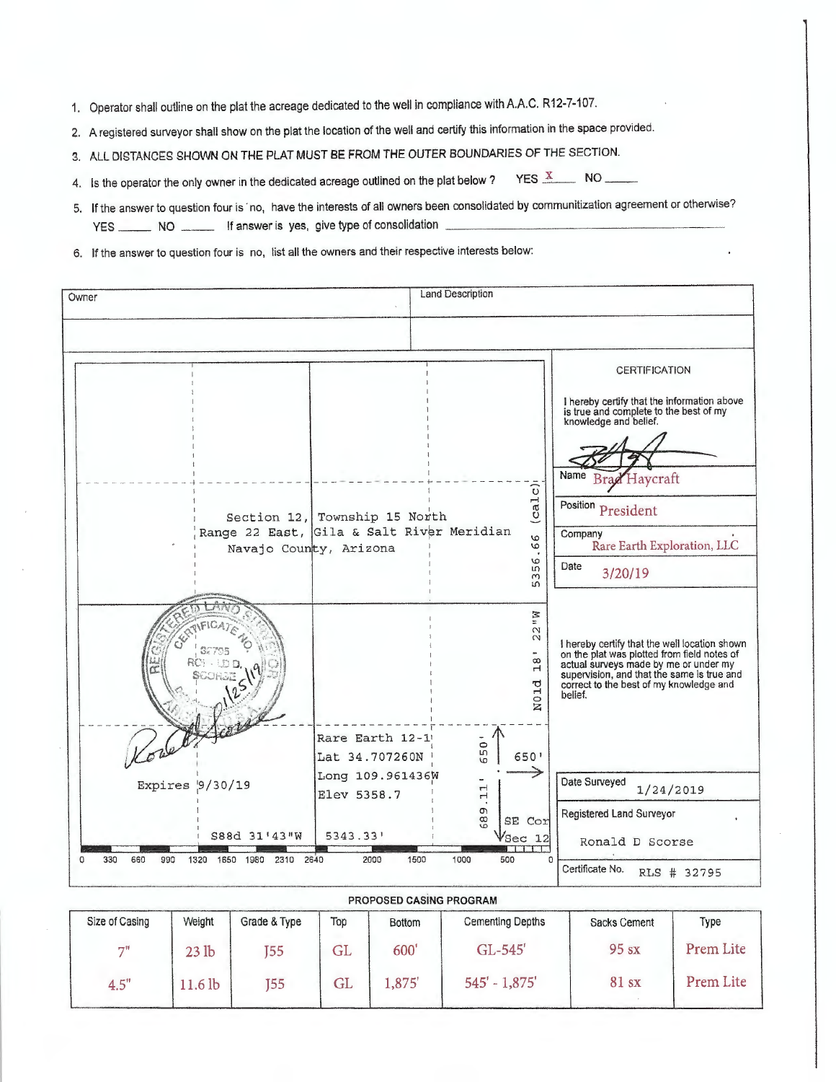- 1. Operator shall outline on the plat the acreage dedicated to the well in compliance with A.A.C. R12-7-107.
- 2. A registered surveyor shall show on the plat the location of the well and certify this information in the space provided.
- 3. ALL DI8TANCE8 SHOWN ON THE PLAT MUST BE FROM THE OUTER BOUNDARIES OF THE SECTION.
- 4. Is the operator the only owner in the dedicated acreage outlined on the plat below ? YES  $\frac{X}{X}$  NO \_\_\_\_
- 5. If the answer to question four is · no, have the interests of all owners been consolidated by communitization agreement or otherwise? YES \_\_\_\_\_\_\_\_ NO \_\_\_\_\_\_\_\_\_ If answer is yes, give type of consolidation \_
- 6. If the answer to question four is no, list all the owners and their respective interests below:

| Owner                          |                                                                     |                                                                                        | <b>Land Description</b> |                                                                                                                                                |                                                                                                                                                                                                                                                                                                                                                                                                                                                                                              |
|--------------------------------|---------------------------------------------------------------------|----------------------------------------------------------------------------------------|-------------------------|------------------------------------------------------------------------------------------------------------------------------------------------|----------------------------------------------------------------------------------------------------------------------------------------------------------------------------------------------------------------------------------------------------------------------------------------------------------------------------------------------------------------------------------------------------------------------------------------------------------------------------------------------|
|                                | Range 22 East, Gila & Salt River Meridian<br>Navajo County, Arizona | Section 12, Township 15 North<br>Rare Earth 12-1<br>Lat 34.707260N<br>Long 109.961436W | -<br>50<br><b>SO</b>    | (calc)<br>99<br>$\bullet$<br>56.<br>ω<br>ທ<br>M H<br>$\mathbf{\Omega}$<br>$\mathbf{\Omega}$<br>$\infty$<br>A<br>N <sub>01</sub> d<br>Ж<br>650' | <b>CERTIFICATION</b><br>I hereby certify that the information above<br>is true and complete to the best of my<br>knowledge and belief.<br>Name Brad Haycraft<br>Position President<br>Company<br>Rare Earth Exploration, LLC<br>Date<br>3/20/19<br>I hereby certify that the well location shown<br>on the plat was plotted from field notes of<br>actual surveys made by me or under my<br>supervision, and that the same is true and<br>correct to the best of my knowledge and<br>belief. |
| Expires $9/30/19$              |                                                                     | Elev 5358.7                                                                            | 11<br>G                 |                                                                                                                                                | Date Surveyed<br>1/24/2019<br>Registered Land Surveyor                                                                                                                                                                                                                                                                                                                                                                                                                                       |
|                                | S88d 31'43"W                                                        | 5343.33'                                                                               | 68                      | SE Cor<br>$Sec$ 12<br>TITL                                                                                                                     | Ronald D Scorse                                                                                                                                                                                                                                                                                                                                                                                                                                                                              |
| 330<br>660<br>0<br>990<br>1320 | 1650 1980 2310<br>2640                                              | 2000                                                                                   | 1500<br>1000            | 500<br>n                                                                                                                                       | Certificate No.<br>RLS # 32795                                                                                                                                                                                                                                                                                                                                                                                                                                                               |

| Size of Casing | Weight             | Grade & Type | Top                 | <b>Bottom</b> | <b>Cementing Depths</b> | Sacks Cement | Type      |
|----------------|--------------------|--------------|---------------------|---------------|-------------------------|--------------|-----------|
| $-11$          | 23 <sub>lb</sub>   | 155          | GL                  | 600           | $GL-545'$               | $95$ sx      | Prem Lite |
| 4.5"           | 11.6 <sub>lb</sub> | 155          | $\operatorname{GL}$ | 1,875'        | $545' - 1,875'$         | 81 sx        | Prem Lite |